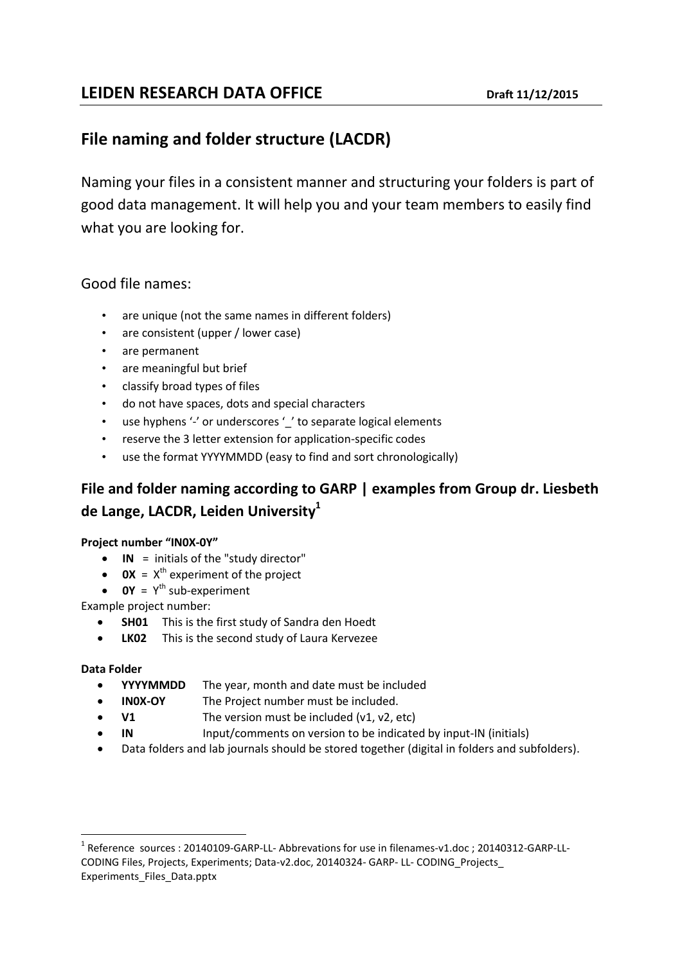# **LEIDEN RESEARCH DATA OFFICE** Draft 11/12/2015

# **File naming and folder structure (LACDR)**

Naming your files in a consistent manner and structuring your folders is part of good data management. It will help you and your team members to easily find what you are looking for.

### Good file names:

- are unique (not the same names in different folders)
- are consistent (upper / lower case)
- are permanent
- are meaningful but brief
- classify broad types of files
- do not have spaces, dots and special characters
- use hyphens '-' or underscores ' ' to separate logical elements
- reserve the 3 letter extension for application-specific codes
- use the format YYYYMMDD (easy to find and sort chronologically)

## **File and folder naming according to GARP | examples from Group dr. Liesbeth de Lange, LACDR, Leiden University<sup>1</sup>**

### **Project number "IN0X-0Y"**

- **IN** = initials of the "study director"
- **0X** =  $X^{th}$  experiment of the project
- **0Y** =  $Y^{th}$  sub-experiment

Example project number:

- **SH01** This is the first study of Sandra den Hoedt
- **LK02** This is the second study of Laura Kervezee

#### **Data Folder**

**.** 

- **YYYYMMDD** The year, month and date must be included
- **IN0X-OY** The Project number must be included.
- **V1** The version must be included (v1, v2, etc)
- **IN** Input/comments on version to be indicated by input-IN (initials)
- Data folders and lab journals should be stored together (digital in folders and subfolders).

 $^{1}$  Reference sources : 20140109-GARP-LL- Abbrevations for use in filenames-v1.doc ; 20140312-GARP-LL-CODING Files, Projects, Experiments; Data-v2.doc, 20140324- GARP- LL- CODING\_Projects\_ Experiments\_Files\_Data.pptx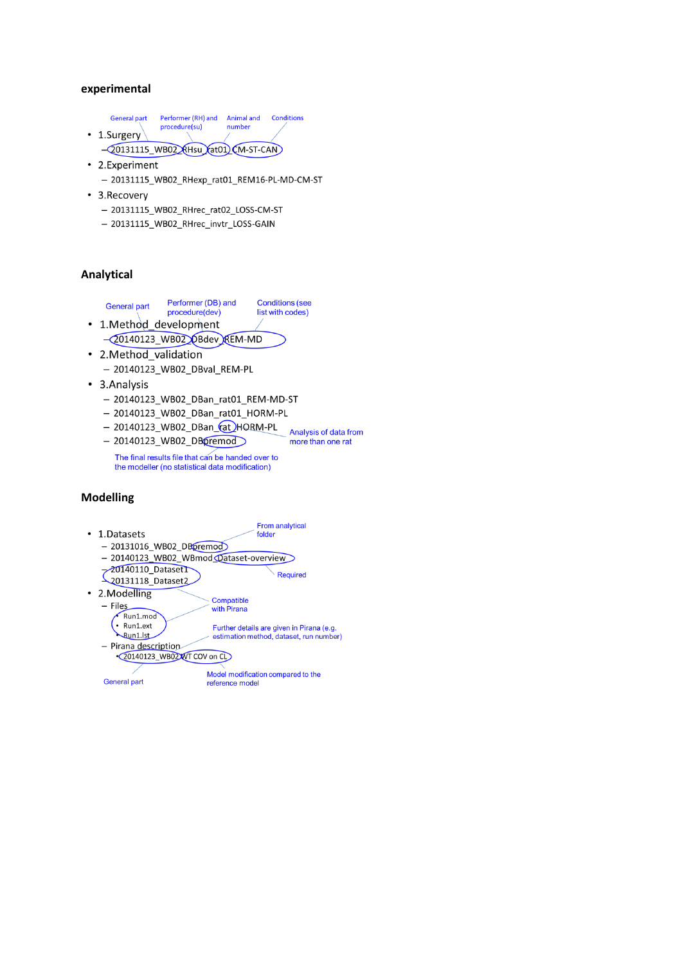#### experimental



- 2.Experiment
	- 20131115\_WB02\_RHexp\_rat01\_REM16-PL-MD-CM-ST
- 3. Recovery
	- 20131115 WB02 RHrec rat02 LOSS-CM-ST
	- 20131115\_WB02\_RHrec\_invtr\_LOSS-GAIN

#### **Analytical**

- Performer (DB) and **Conditions (see General part** procedure(dev) list with codes) • 1. Method development -20140123 WB02 OBdev REM-MD • 2. Method\_validation
	- 20140123\_WB02\_DBval\_REM-PL
- 3. Analysis
	- 20140123\_WB02\_DBan\_rat01\_REM-MD-ST
	- 20140123 WB02 DBan rat01 HORM-PL
	- 20140123 WB02 DBan (at HORM-PL
	- Analysis of data from  $-$  20140123 WB02 DBoremod more than one rat
		- The final results file that can be handed over to the modeller (no statistical data modification)

#### **Modelling**

From analytical • 1.Datasets folder  $-$  20131016 WB02 DBpremod - 20140123\_WB02\_WBmod\_Dataset-overview Required • 2. Modelling **Compatible**<br>with Pirana  $-$  Files Run1.mod · Run1.ext Further details are given in Pirana (e.g.<br>estimation method, dataset, run number) Run1.lst - Pirana description  $\sqrt{20140123 \cdot \text{WB02W} \cdot \text{COV} \cdot \text{O1}}$ Model modification compared to the General part reference model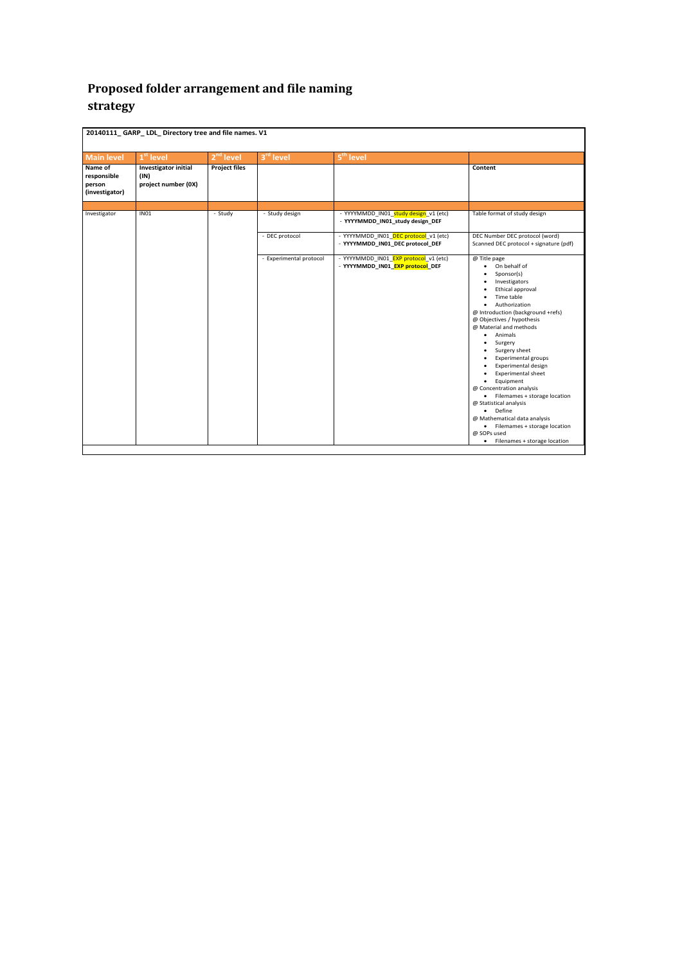### **Proposed folder arrangement and file naming strategy**

| 20140111_GARP_LDL_Directory tree and file names. V1 |                                                            |                       |                         |                                                                           |                                                                                                                                                                                                                                                                                                                                                                                                                                                                                                                                                                                                                               |  |  |  |  |
|-----------------------------------------------------|------------------------------------------------------------|-----------------------|-------------------------|---------------------------------------------------------------------------|-------------------------------------------------------------------------------------------------------------------------------------------------------------------------------------------------------------------------------------------------------------------------------------------------------------------------------------------------------------------------------------------------------------------------------------------------------------------------------------------------------------------------------------------------------------------------------------------------------------------------------|--|--|--|--|
|                                                     |                                                            |                       |                         |                                                                           |                                                                                                                                                                                                                                                                                                                                                                                                                                                                                                                                                                                                                               |  |  |  |  |
| <b>Main level</b>                                   | 1 <sup>st</sup> level                                      | 2 <sup>nd</sup> level | $3rd$ level             | 5 <sup>th</sup> level                                                     |                                                                                                                                                                                                                                                                                                                                                                                                                                                                                                                                                                                                                               |  |  |  |  |
| Name of<br>responsible<br>person<br>(investigator)  | <b>Investigator initial</b><br>(IN)<br>project number (0X) | <b>Project files</b>  |                         |                                                                           | Content                                                                                                                                                                                                                                                                                                                                                                                                                                                                                                                                                                                                                       |  |  |  |  |
|                                                     |                                                            |                       |                         |                                                                           |                                                                                                                                                                                                                                                                                                                                                                                                                                                                                                                                                                                                                               |  |  |  |  |
| Investigator                                        | <b>IN01</b>                                                | - Study               | - Study design          | - YYYYMMDD IN01 study design v1 (etc)<br>- YYYYMMDD_IN01_study design_DEF | Table format of study design                                                                                                                                                                                                                                                                                                                                                                                                                                                                                                                                                                                                  |  |  |  |  |
|                                                     |                                                            |                       | - DEC protocol          | - YYYYMMDD_IN01_DEC protocol_v1 (etc)<br>- YYYYMMDD_IN01_DEC protocol_DEF | DEC Number DEC protocol (word)<br>Scanned DEC protocol + signature (pdf)                                                                                                                                                                                                                                                                                                                                                                                                                                                                                                                                                      |  |  |  |  |
|                                                     |                                                            |                       | - Experimental protocol | - YYYYMMDD IN01 EXP protocol v1 (etc)<br>- YYYYMMDD_IN01_EXP protocol_DEF | @ Title page<br>On behalf of<br>٠<br>Sponsor(s)<br>٠<br>Investigators<br>Ethical approval<br>Time table<br>Authorization<br>٠<br>@ Introduction (background +refs)<br>@ Objectives / hypothesis<br>@ Material and methods<br>Animals<br>$\bullet$<br>Surgery<br>٠<br>Surgery sheet<br><b>Experimental groups</b><br>٠<br>Experimental design<br><b>Experimental sheet</b><br>Equipment<br>٠<br>@ Concentration analysis<br>• Filemames + storage location<br>@ Statistical analysis<br>· Define<br>@ Mathematical data analysis<br>• Filemames + storage location<br>@ SOPs used<br>Filenames + storage location<br>$\bullet$ |  |  |  |  |